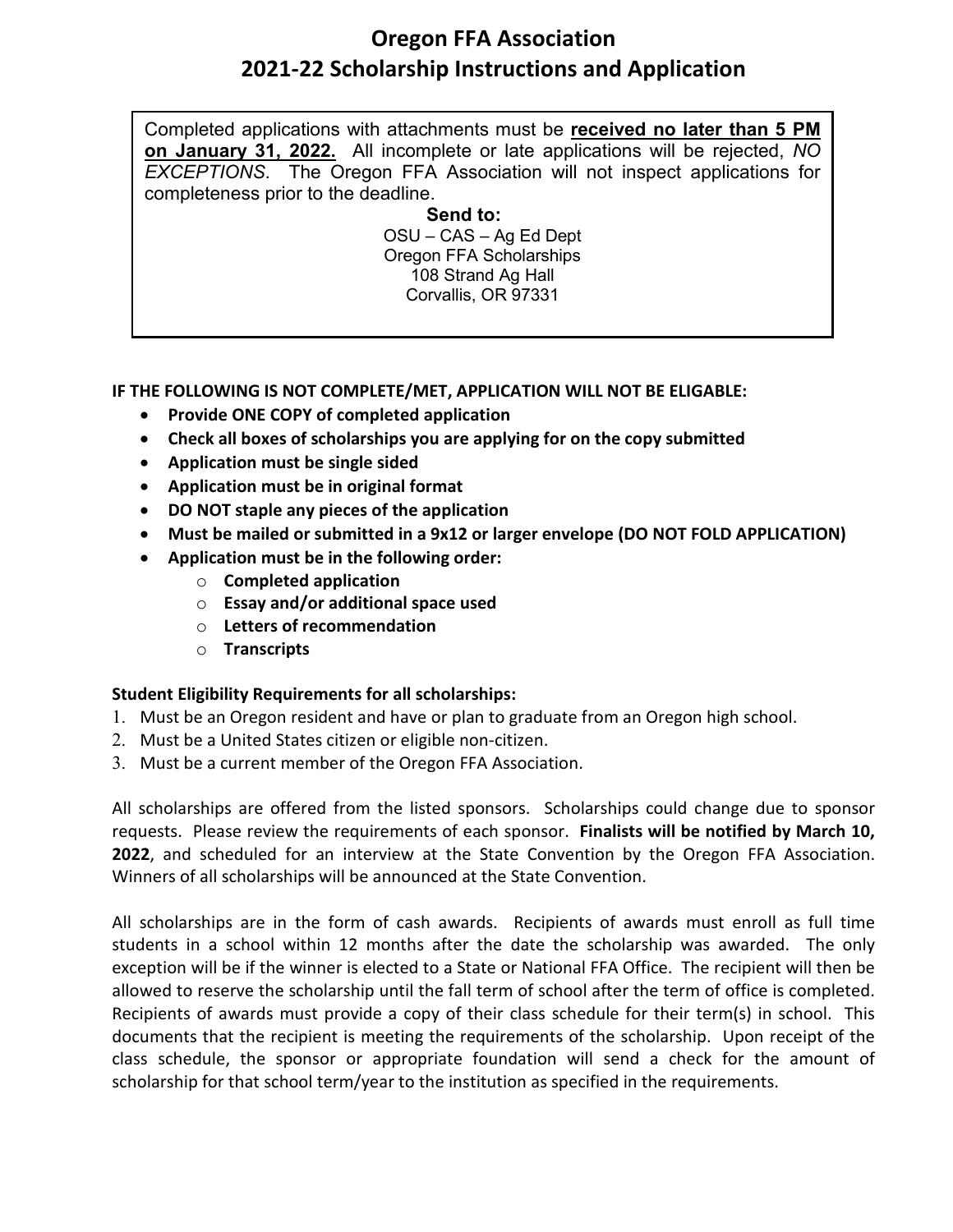## **Oregon FFA Association 2021-22 Scholarship Instructions and Application**

Completed applications with attachments must be **received no later than 5 PM on January 31, 2022.** All incomplete or late applications will be rejected, *NO EXCEPTIONS*. The Oregon FFA Association will not inspect applications for completeness prior to the deadline.

> **Send to:** OSU – CAS – Ag Ed Dept Oregon FFA Scholarships 108 Strand Ag Hall Corvallis, OR 97331

## **IF THE FOLLOWING IS NOT COMPLETE/MET, APPLICATION WILL NOT BE ELIGABLE:**

- **Provide ONE COPY of completed application**
- **Check all boxes of scholarships you are applying for on the copy submitted**
- **Application must be single sided**
- **Application must be in original format**
- **DO NOT staple any pieces of the application**
- **Must be mailed or submitted in a 9x12 or larger envelope (DO NOT FOLD APPLICATION)**
- **Application must be in the following order:** 
	- o **Completed application**
	- o **Essay and/or additional space used**
	- o **Letters of recommendation**
	- o **Transcripts**

## **Student Eligibility Requirements for all scholarships:**

- 1. Must be an Oregon resident and have or plan to graduate from an Oregon high school.
- 2. Must be a United States citizen or eligible non-citizen.
- 3. Must be a current member of the Oregon FFA Association.

All scholarships are offered from the listed sponsors. Scholarships could change due to sponsor requests. Please review the requirements of each sponsor. **Finalists will be notified by March 10, 2022**, and scheduled for an interview at the State Convention by the Oregon FFA Association. Winners of all scholarships will be announced at the State Convention.

All scholarships are in the form of cash awards. Recipients of awards must enroll as full time students in a school within 12 months after the date the scholarship was awarded. The only exception will be if the winner is elected to a State or National FFA Office. The recipient will then be allowed to reserve the scholarship until the fall term of school after the term of office is completed. Recipients of awards must provide a copy of their class schedule for their term(s) in school. This documents that the recipient is meeting the requirements of the scholarship. Upon receipt of the class schedule, the sponsor or appropriate foundation will send a check for the amount of scholarship for that school term/year to the institution as specified in the requirements.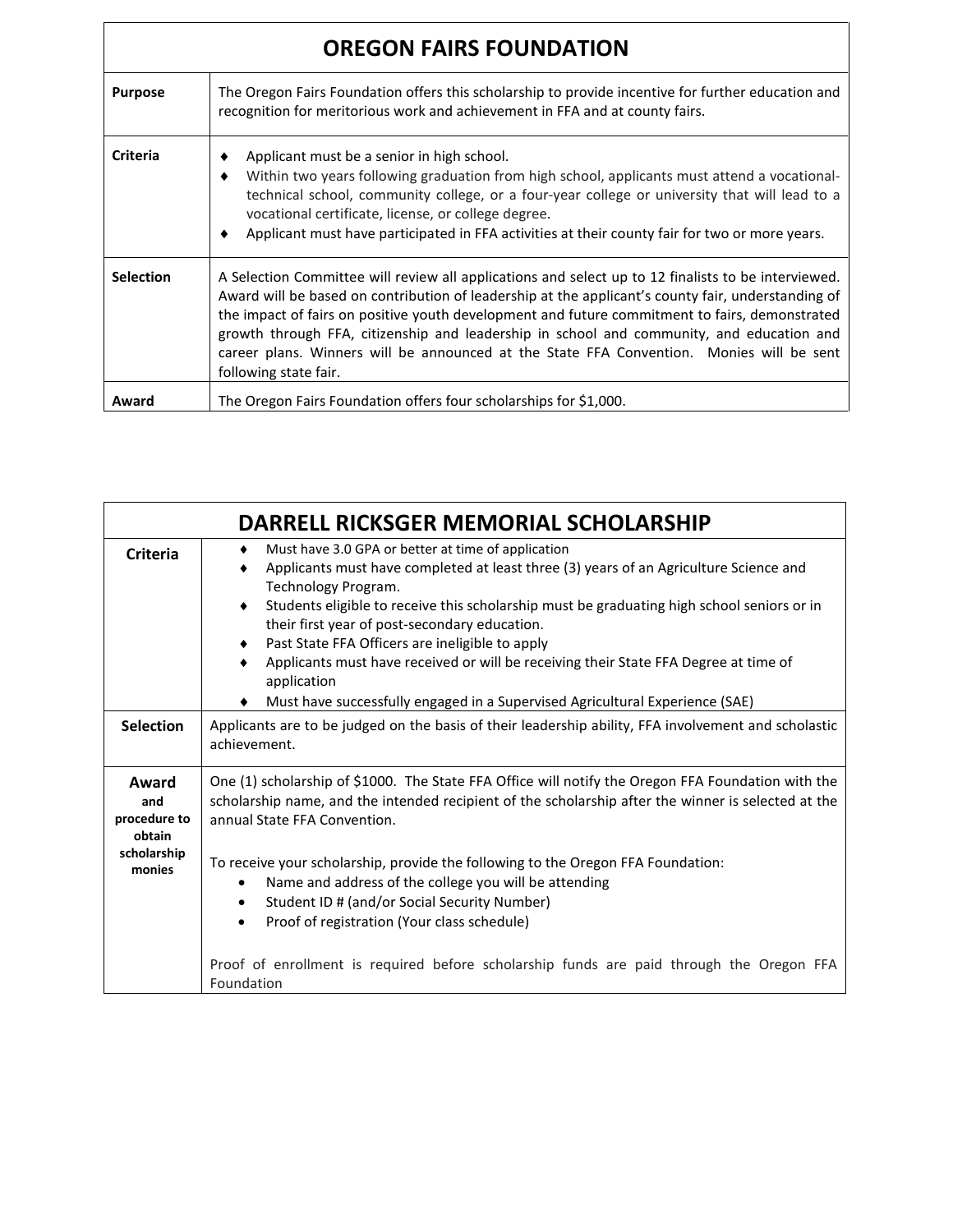| <b>OREGON FAIRS FOUNDATION</b> |                                                                                                                                                                                                                                                                                                                                                                                                                                                                                                                               |  |  |  |  |  |
|--------------------------------|-------------------------------------------------------------------------------------------------------------------------------------------------------------------------------------------------------------------------------------------------------------------------------------------------------------------------------------------------------------------------------------------------------------------------------------------------------------------------------------------------------------------------------|--|--|--|--|--|
| <b>Purpose</b>                 | The Oregon Fairs Foundation offers this scholarship to provide incentive for further education and<br>recognition for meritorious work and achievement in FFA and at county fairs.                                                                                                                                                                                                                                                                                                                                            |  |  |  |  |  |
| <b>Criteria</b>                | Applicant must be a senior in high school.<br>Within two years following graduation from high school, applicants must attend a vocational-<br>technical school, community college, or a four-year college or university that will lead to a<br>vocational certificate, license, or college degree.<br>Applicant must have participated in FFA activities at their county fair for two or more years.                                                                                                                          |  |  |  |  |  |
| <b>Selection</b>               | A Selection Committee will review all applications and select up to 12 finalists to be interviewed.<br>Award will be based on contribution of leadership at the applicant's county fair, understanding of<br>the impact of fairs on positive youth development and future commitment to fairs, demonstrated<br>growth through FFA, citizenship and leadership in school and community, and education and<br>career plans. Winners will be announced at the State FFA Convention. Monies will be sent<br>following state fair. |  |  |  |  |  |
| Award                          | The Oregon Fairs Foundation offers four scholarships for \$1,000.                                                                                                                                                                                                                                                                                                                                                                                                                                                             |  |  |  |  |  |

|                                                                 | DARRELL RICKSGER MEMORIAL SCHOLARSHIP                                                                                                                                                                                                                                                                                                                                                                                                                                                                                                                                      |  |  |  |  |  |
|-----------------------------------------------------------------|----------------------------------------------------------------------------------------------------------------------------------------------------------------------------------------------------------------------------------------------------------------------------------------------------------------------------------------------------------------------------------------------------------------------------------------------------------------------------------------------------------------------------------------------------------------------------|--|--|--|--|--|
| <b>Criteria</b>                                                 | Must have 3.0 GPA or better at time of application<br>٠<br>Applicants must have completed at least three (3) years of an Agriculture Science and<br>Technology Program.<br>Students eligible to receive this scholarship must be graduating high school seniors or in<br>٠<br>their first year of post-secondary education.<br>Past State FFA Officers are ineligible to apply<br>٠<br>Applicants must have received or will be receiving their State FFA Degree at time of<br>application<br>Must have successfully engaged in a Supervised Agricultural Experience (SAE) |  |  |  |  |  |
| <b>Selection</b>                                                | Applicants are to be judged on the basis of their leadership ability, FFA involvement and scholastic<br>achievement.                                                                                                                                                                                                                                                                                                                                                                                                                                                       |  |  |  |  |  |
| Award<br>and<br>procedure to<br>obtain<br>scholarship<br>monies | One (1) scholarship of \$1000. The State FFA Office will notify the Oregon FFA Foundation with the<br>scholarship name, and the intended recipient of the scholarship after the winner is selected at the<br>annual State FFA Convention.<br>To receive your scholarship, provide the following to the Oregon FFA Foundation:<br>Name and address of the college you will be attending<br>Student ID # (and/or Social Security Number)<br>Proof of registration (Your class schedule)<br>$\bullet$                                                                         |  |  |  |  |  |
|                                                                 | Proof of enrollment is required before scholarship funds are paid through the Oregon FFA<br>Foundation                                                                                                                                                                                                                                                                                                                                                                                                                                                                     |  |  |  |  |  |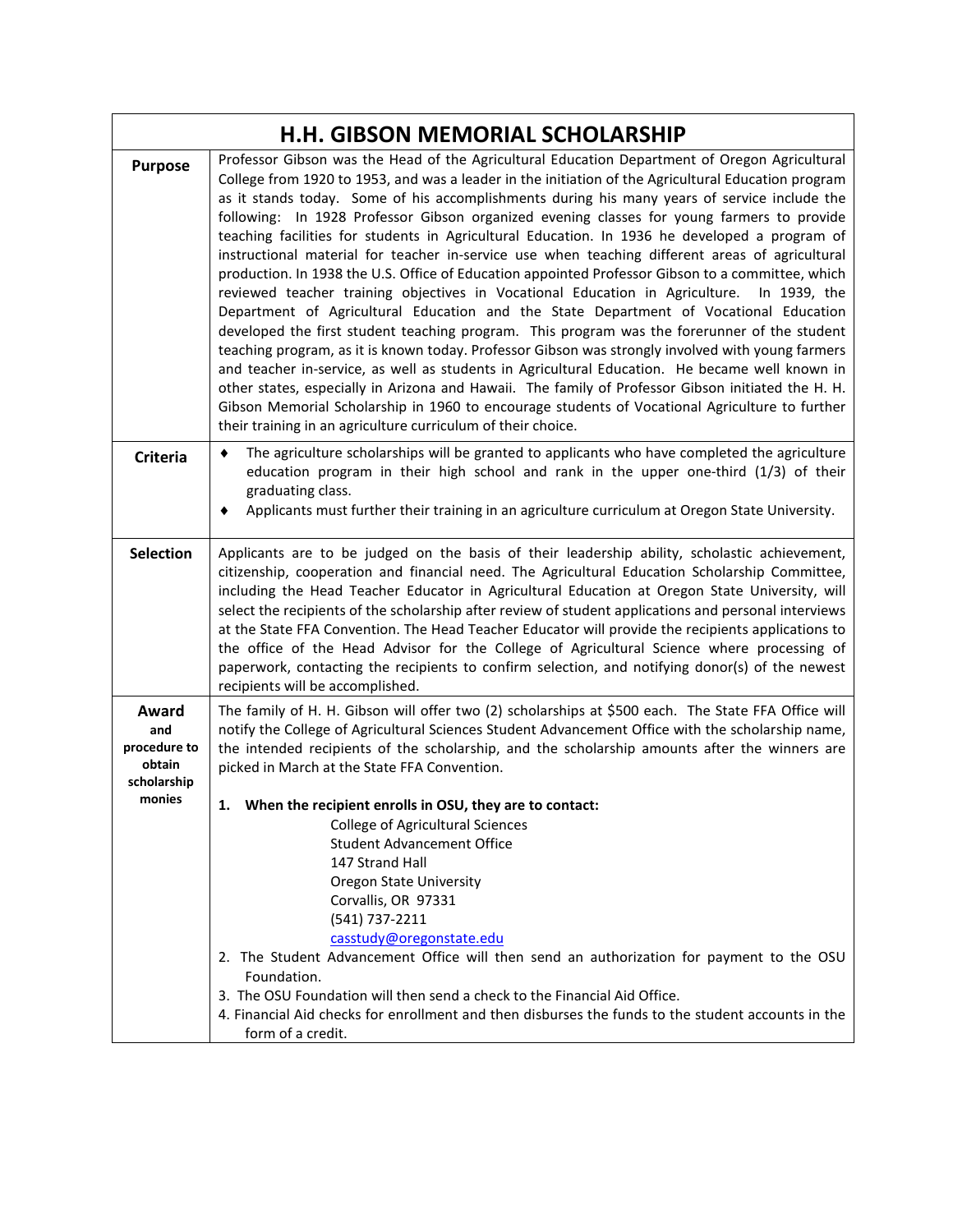| Professor Gibson was the Head of the Agricultural Education Department of Oregon Agricultural<br>College from 1920 to 1953, and was a leader in the initiation of the Agricultural Education program<br>as it stands today. Some of his accomplishments during his many years of service include the<br>following: In 1928 Professor Gibson organized evening classes for young farmers to provide<br>teaching facilities for students in Agricultural Education. In 1936 he developed a program of<br>instructional material for teacher in-service use when teaching different areas of agricultural<br>production. In 1938 the U.S. Office of Education appointed Professor Gibson to a committee, which<br>reviewed teacher training objectives in Vocational Education in Agriculture. In 1939, the<br>Department of Agricultural Education and the State Department of Vocational Education<br>developed the first student teaching program. This program was the forerunner of the student<br>teaching program, as it is known today. Professor Gibson was strongly involved with young farmers<br>and teacher in-service, as well as students in Agricultural Education. He became well known in<br>other states, especially in Arizona and Hawaii. The family of Professor Gibson initiated the H. H.<br>Gibson Memorial Scholarship in 1960 to encourage students of Vocational Agriculture to further<br>their training in an agriculture curriculum of their choice.<br>The agriculture scholarships will be granted to applicants who have completed the agriculture<br>education program in their high school and rank in the upper one-third (1/3) of their<br>graduating class.<br>Applicants must further their training in an agriculture curriculum at Oregon State University.<br>Applicants are to be judged on the basis of their leadership ability, scholastic achievement, |
|-----------------------------------------------------------------------------------------------------------------------------------------------------------------------------------------------------------------------------------------------------------------------------------------------------------------------------------------------------------------------------------------------------------------------------------------------------------------------------------------------------------------------------------------------------------------------------------------------------------------------------------------------------------------------------------------------------------------------------------------------------------------------------------------------------------------------------------------------------------------------------------------------------------------------------------------------------------------------------------------------------------------------------------------------------------------------------------------------------------------------------------------------------------------------------------------------------------------------------------------------------------------------------------------------------------------------------------------------------------------------------------------------------------------------------------------------------------------------------------------------------------------------------------------------------------------------------------------------------------------------------------------------------------------------------------------------------------------------------------------------------------------------------------------------------------------------------------------------------------------------------------------------------|
|                                                                                                                                                                                                                                                                                                                                                                                                                                                                                                                                                                                                                                                                                                                                                                                                                                                                                                                                                                                                                                                                                                                                                                                                                                                                                                                                                                                                                                                                                                                                                                                                                                                                                                                                                                                                                                                                                                     |
|                                                                                                                                                                                                                                                                                                                                                                                                                                                                                                                                                                                                                                                                                                                                                                                                                                                                                                                                                                                                                                                                                                                                                                                                                                                                                                                                                                                                                                                                                                                                                                                                                                                                                                                                                                                                                                                                                                     |
| citizenship, cooperation and financial need. The Agricultural Education Scholarship Committee,<br>including the Head Teacher Educator in Agricultural Education at Oregon State University, will<br>select the recipients of the scholarship after review of student applications and personal interviews<br>at the State FFA Convention. The Head Teacher Educator will provide the recipients applications to<br>the office of the Head Advisor for the College of Agricultural Science where processing of<br>paperwork, contacting the recipients to confirm selection, and notifying donor(s) of the newest<br>recipients will be accomplished.                                                                                                                                                                                                                                                                                                                                                                                                                                                                                                                                                                                                                                                                                                                                                                                                                                                                                                                                                                                                                                                                                                                                                                                                                                                |
| The family of H. H. Gibson will offer two (2) scholarships at \$500 each. The State FFA Office will<br>notify the College of Agricultural Sciences Student Advancement Office with the scholarship name,<br>the intended recipients of the scholarship, and the scholarship amounts after the winners are<br>picked in March at the State FFA Convention.                                                                                                                                                                                                                                                                                                                                                                                                                                                                                                                                                                                                                                                                                                                                                                                                                                                                                                                                                                                                                                                                                                                                                                                                                                                                                                                                                                                                                                                                                                                                           |
| 1. When the recipient enrolls in OSU, they are to contact:<br><b>College of Agricultural Sciences</b><br><b>Student Advancement Office</b><br>147 Strand Hall<br><b>Oregon State University</b><br>Corvallis, OR 97331<br>(541) 737-2211<br>casstudy@oregonstate.edu<br>2. The Student Advancement Office will then send an authorization for payment to the OSU<br>Foundation.                                                                                                                                                                                                                                                                                                                                                                                                                                                                                                                                                                                                                                                                                                                                                                                                                                                                                                                                                                                                                                                                                                                                                                                                                                                                                                                                                                                                                                                                                                                     |
|                                                                                                                                                                                                                                                                                                                                                                                                                                                                                                                                                                                                                                                                                                                                                                                                                                                                                                                                                                                                                                                                                                                                                                                                                                                                                                                                                                                                                                                                                                                                                                                                                                                                                                                                                                                                                                                                                                     |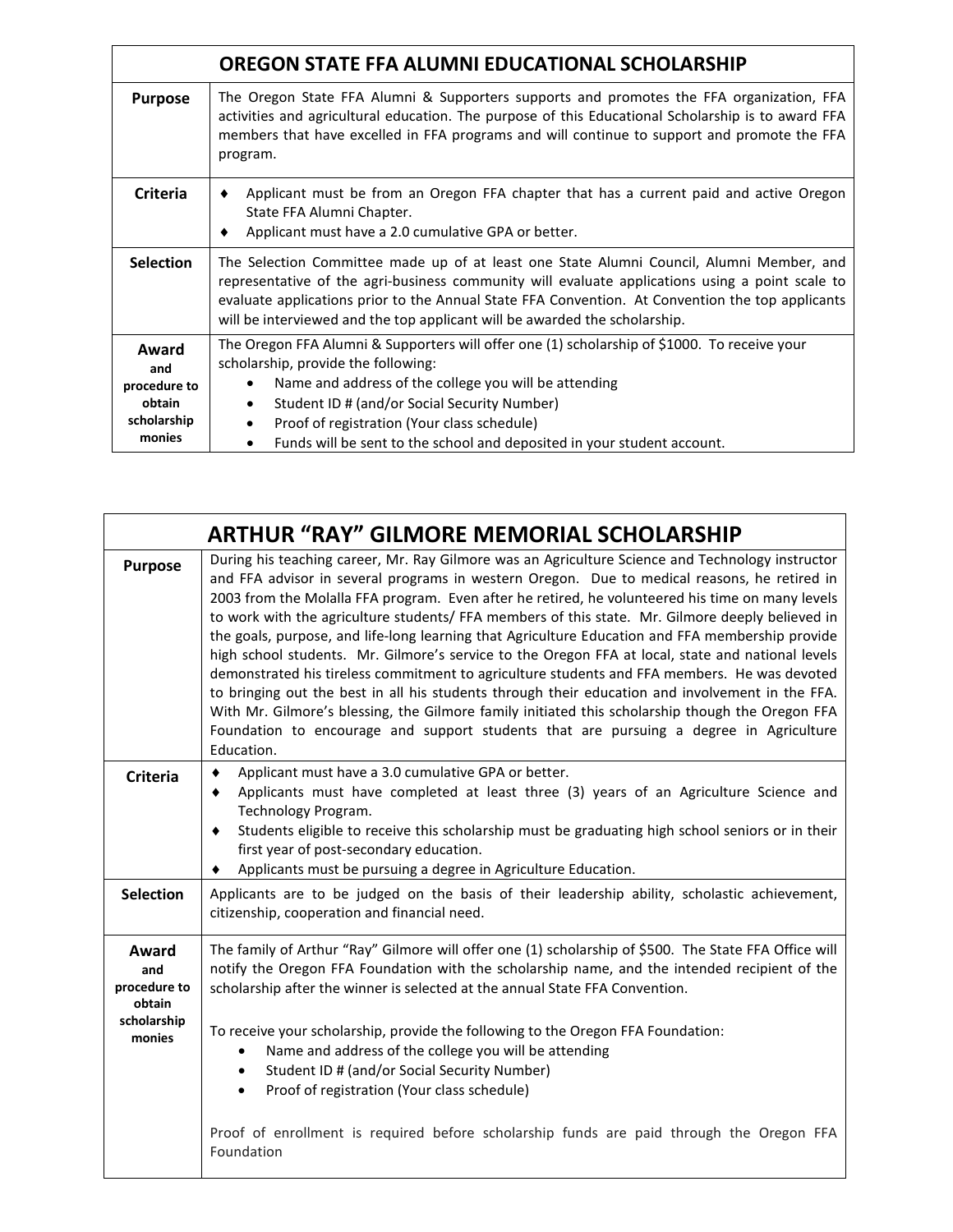|                                                       | <b>OREGON STATE FFA ALUMNI EDUCATIONAL SCHOLARSHIP</b>                                                                                                                                                                                                                                                                                                                        |  |  |  |  |  |  |  |
|-------------------------------------------------------|-------------------------------------------------------------------------------------------------------------------------------------------------------------------------------------------------------------------------------------------------------------------------------------------------------------------------------------------------------------------------------|--|--|--|--|--|--|--|
| <b>Purpose</b>                                        | The Oregon State FFA Alumni & Supporters supports and promotes the FFA organization, FFA<br>activities and agricultural education. The purpose of this Educational Scholarship is to award FFA<br>members that have excelled in FFA programs and will continue to support and promote the FFA<br>program.                                                                     |  |  |  |  |  |  |  |
| <b>Criteria</b>                                       | Applicant must be from an Oregon FFA chapter that has a current paid and active Oregon<br>٠<br>State FFA Alumni Chapter.<br>Applicant must have a 2.0 cumulative GPA or better.<br>٠                                                                                                                                                                                          |  |  |  |  |  |  |  |
| <b>Selection</b>                                      | The Selection Committee made up of at least one State Alumni Council, Alumni Member, and<br>representative of the agri-business community will evaluate applications using a point scale to<br>evaluate applications prior to the Annual State FFA Convention. At Convention the top applicants<br>will be interviewed and the top applicant will be awarded the scholarship. |  |  |  |  |  |  |  |
| Award<br>and<br>procedure to<br>obtain<br>scholarship | The Oregon FFA Alumni & Supporters will offer one (1) scholarship of \$1000. To receive your<br>scholarship, provide the following:<br>Name and address of the college you will be attending<br>Student ID # (and/or Social Security Number)<br>$\bullet$<br>Proof of registration (Your class schedule)                                                                      |  |  |  |  |  |  |  |
| monies                                                | Funds will be sent to the school and deposited in your student account.                                                                                                                                                                                                                                                                                                       |  |  |  |  |  |  |  |

|                                                                 | <b>ARTHUR "RAY" GILMORE MEMORIAL SCHOLARSHIP</b>                                                                                                                                                                                                                                                                                                                                                                                                                                                                                                                                                                                                                                                                                                                                                                                                                                                                                                                                                                                  |
|-----------------------------------------------------------------|-----------------------------------------------------------------------------------------------------------------------------------------------------------------------------------------------------------------------------------------------------------------------------------------------------------------------------------------------------------------------------------------------------------------------------------------------------------------------------------------------------------------------------------------------------------------------------------------------------------------------------------------------------------------------------------------------------------------------------------------------------------------------------------------------------------------------------------------------------------------------------------------------------------------------------------------------------------------------------------------------------------------------------------|
| <b>Purpose</b>                                                  | During his teaching career, Mr. Ray Gilmore was an Agriculture Science and Technology instructor<br>and FFA advisor in several programs in western Oregon. Due to medical reasons, he retired in<br>2003 from the Molalla FFA program. Even after he retired, he volunteered his time on many levels<br>to work with the agriculture students/ FFA members of this state. Mr. Gilmore deeply believed in<br>the goals, purpose, and life-long learning that Agriculture Education and FFA membership provide<br>high school students. Mr. Gilmore's service to the Oregon FFA at local, state and national levels<br>demonstrated his tireless commitment to agriculture students and FFA members. He was devoted<br>to bringing out the best in all his students through their education and involvement in the FFA.<br>With Mr. Gilmore's blessing, the Gilmore family initiated this scholarship though the Oregon FFA<br>Foundation to encourage and support students that are pursuing a degree in Agriculture<br>Education. |
| <b>Criteria</b>                                                 | Applicant must have a 3.0 cumulative GPA or better.<br>٠<br>Applicants must have completed at least three (3) years of an Agriculture Science and<br>$\bullet$<br>Technology Program.<br>Students eligible to receive this scholarship must be graduating high school seniors or in their<br>٠<br>first year of post-secondary education.<br>Applicants must be pursuing a degree in Agriculture Education.                                                                                                                                                                                                                                                                                                                                                                                                                                                                                                                                                                                                                       |
| <b>Selection</b>                                                | Applicants are to be judged on the basis of their leadership ability, scholastic achievement,<br>citizenship, cooperation and financial need.                                                                                                                                                                                                                                                                                                                                                                                                                                                                                                                                                                                                                                                                                                                                                                                                                                                                                     |
| Award<br>and<br>procedure to<br>obtain<br>scholarship<br>monies | The family of Arthur "Ray" Gilmore will offer one (1) scholarship of \$500. The State FFA Office will<br>notify the Oregon FFA Foundation with the scholarship name, and the intended recipient of the<br>scholarship after the winner is selected at the annual State FFA Convention.<br>To receive your scholarship, provide the following to the Oregon FFA Foundation:<br>Name and address of the college you will be attending<br>٠<br>Student ID # (and/or Social Security Number)<br>$\bullet$<br>Proof of registration (Your class schedule)<br>$\bullet$<br>Proof of enrollment is required before scholarship funds are paid through the Oregon FFA<br>Foundation                                                                                                                                                                                                                                                                                                                                                       |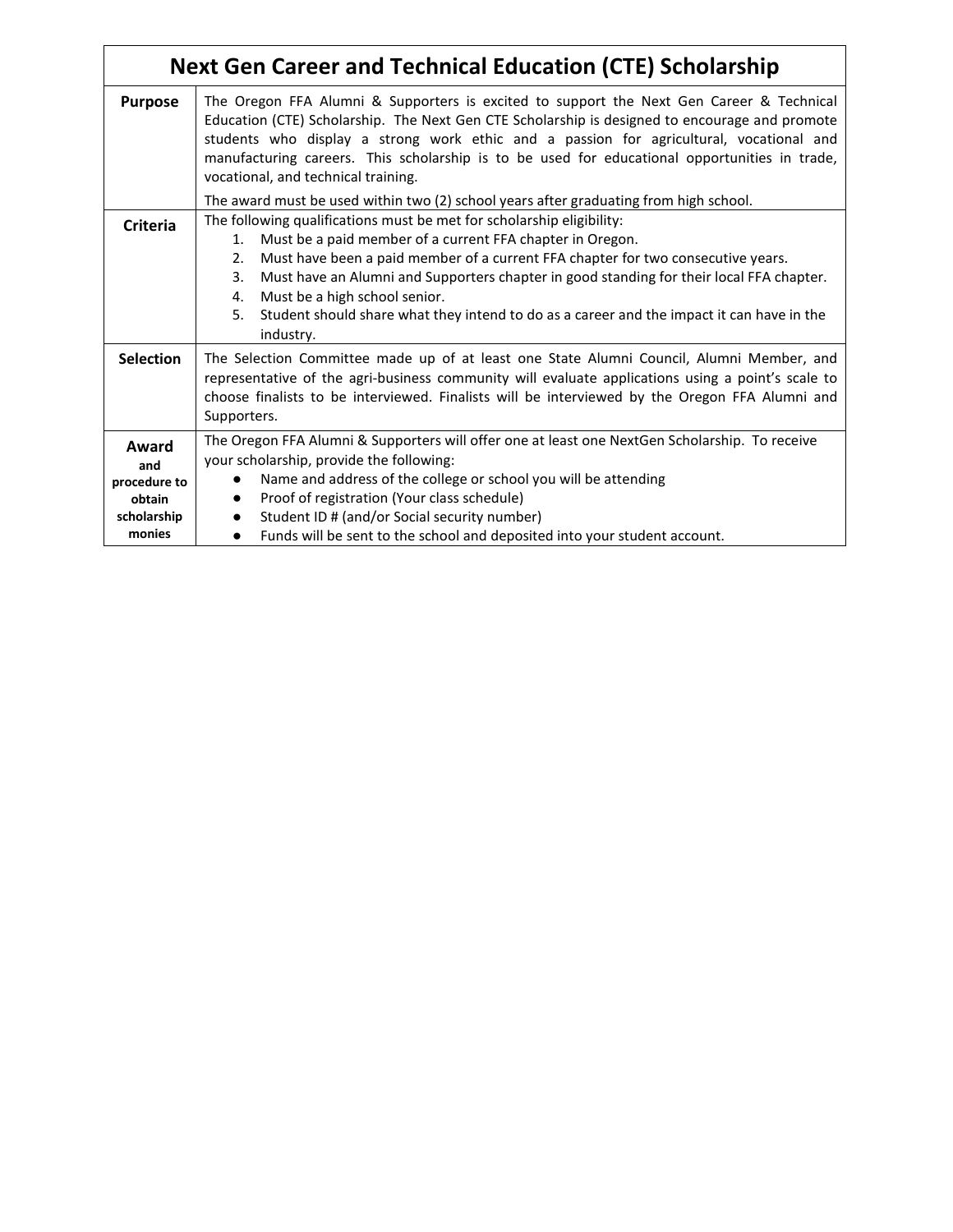|                                                                 | <b>Next Gen Career and Technical Education (CTE) Scholarship</b>                                                                                                                                                                                                                                                                                                                                                                                                                            |
|-----------------------------------------------------------------|---------------------------------------------------------------------------------------------------------------------------------------------------------------------------------------------------------------------------------------------------------------------------------------------------------------------------------------------------------------------------------------------------------------------------------------------------------------------------------------------|
| <b>Purpose</b>                                                  | The Oregon FFA Alumni & Supporters is excited to support the Next Gen Career & Technical<br>Education (CTE) Scholarship. The Next Gen CTE Scholarship is designed to encourage and promote<br>students who display a strong work ethic and a passion for agricultural, vocational and<br>manufacturing careers. This scholarship is to be used for educational opportunities in trade,<br>vocational, and technical training.                                                               |
|                                                                 | The award must be used within two (2) school years after graduating from high school.                                                                                                                                                                                                                                                                                                                                                                                                       |
| <b>Criteria</b>                                                 | The following qualifications must be met for scholarship eligibility:<br>Must be a paid member of a current FFA chapter in Oregon.<br>1.<br>Must have been a paid member of a current FFA chapter for two consecutive years.<br>2.<br>Must have an Alumni and Supporters chapter in good standing for their local FFA chapter.<br>3.<br>Must be a high school senior.<br>4.<br>Student should share what they intend to do as a career and the impact it can have in the<br>5.<br>industry. |
| <b>Selection</b>                                                | The Selection Committee made up of at least one State Alumni Council, Alumni Member, and<br>representative of the agri-business community will evaluate applications using a point's scale to<br>choose finalists to be interviewed. Finalists will be interviewed by the Oregon FFA Alumni and<br>Supporters.                                                                                                                                                                              |
| Award<br>and<br>procedure to<br>obtain<br>scholarship<br>monies | The Oregon FFA Alumni & Supporters will offer one at least one NextGen Scholarship. To receive<br>your scholarship, provide the following:<br>Name and address of the college or school you will be attending<br>Proof of registration (Your class schedule)<br>$\bullet$<br>Student ID # (and/or Social security number)<br>Funds will be sent to the school and deposited into your student account.                                                                                      |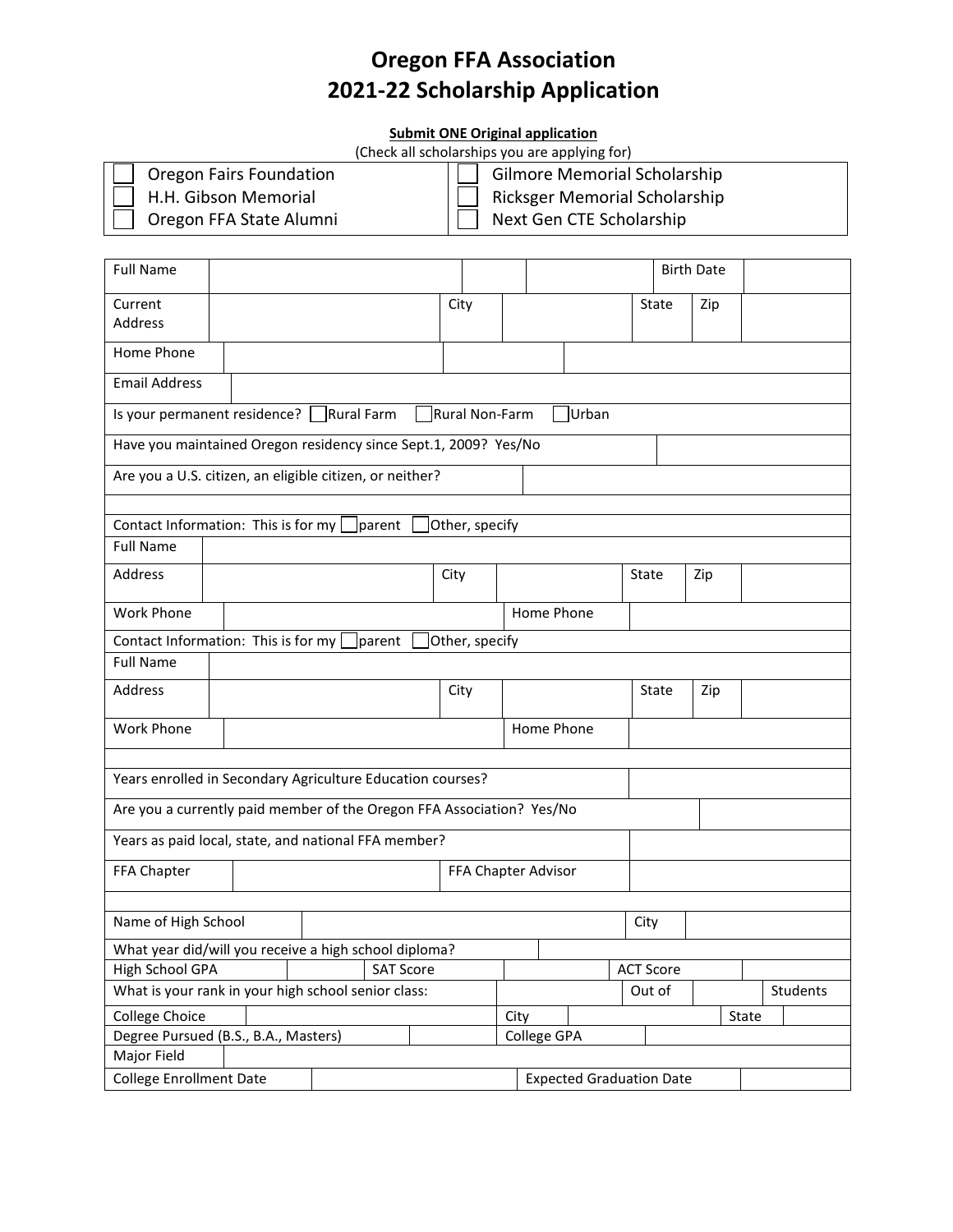# **Oregon FFA Association 2021-22 Scholarship Application**

#### **Submit ONE Original application**

| (Check all scholarships you are applying for) |                                     |  |  |  |
|-----------------------------------------------|-------------------------------------|--|--|--|
| <b>Oregon Fairs Foundation</b>                | <b>Gilmore Memorial Scholarship</b> |  |  |  |
| H.H. Gibson Memorial                          | Ricksger Memorial Scholarship       |  |  |  |
| Oregon FFA State Alumni                       | Next Gen CTE Scholarship            |  |  |  |

| <b>Full Name</b>                                                          |                                                                           |  |        |                |  |                     |                                 |       |       | <b>Birth Date</b> |  |  |
|---------------------------------------------------------------------------|---------------------------------------------------------------------------|--|--------|----------------|--|---------------------|---------------------------------|-------|-------|-------------------|--|--|
| Current<br>Address                                                        |                                                                           |  |        | City           |  |                     |                                 |       | State | Zip               |  |  |
| Home Phone                                                                |                                                                           |  |        |                |  |                     |                                 |       |       |                   |  |  |
| <b>Email Address</b>                                                      |                                                                           |  |        |                |  |                     |                                 |       |       |                   |  |  |
|                                                                           | Is your permanent residence? Rural Farm<br>Urban<br>Rural Non-Farm        |  |        |                |  |                     |                                 |       |       |                   |  |  |
| Have you maintained Oregon residency since Sept.1, 2009? Yes/No           |                                                                           |  |        |                |  |                     |                                 |       |       |                   |  |  |
| Are you a U.S. citizen, an eligible citizen, or neither?                  |                                                                           |  |        |                |  |                     |                                 |       |       |                   |  |  |
|                                                                           |                                                                           |  |        |                |  |                     |                                 |       |       |                   |  |  |
| Contact Information: This is for my                                       |                                                                           |  | parent | Other, specify |  |                     |                                 |       |       |                   |  |  |
| <b>Full Name</b>                                                          |                                                                           |  |        |                |  |                     |                                 |       |       |                   |  |  |
| Address                                                                   |                                                                           |  |        | City           |  |                     |                                 | State |       | Zip               |  |  |
| <b>Work Phone</b>                                                         |                                                                           |  |        |                |  | Home Phone          |                                 |       |       |                   |  |  |
|                                                                           | Contact Information: This is for my<br>Other, specify<br><i>s</i> lparent |  |        |                |  |                     |                                 |       |       |                   |  |  |
| <b>Full Name</b>                                                          |                                                                           |  |        |                |  |                     |                                 |       |       |                   |  |  |
| Address                                                                   |                                                                           |  |        | City           |  |                     |                                 |       | State | Zip               |  |  |
| Work Phone                                                                | Home Phone                                                                |  |        |                |  |                     |                                 |       |       |                   |  |  |
|                                                                           |                                                                           |  |        |                |  |                     |                                 |       |       |                   |  |  |
| Years enrolled in Secondary Agriculture Education courses?                |                                                                           |  |        |                |  |                     |                                 |       |       |                   |  |  |
| Are you a currently paid member of the Oregon FFA Association? Yes/No     |                                                                           |  |        |                |  |                     |                                 |       |       |                   |  |  |
| Years as paid local, state, and national FFA member?                      |                                                                           |  |        |                |  |                     |                                 |       |       |                   |  |  |
| FFA Chapter                                                               |                                                                           |  |        |                |  | FFA Chapter Advisor |                                 |       |       |                   |  |  |
|                                                                           |                                                                           |  |        |                |  |                     |                                 |       |       |                   |  |  |
| Name of High School<br>City                                               |                                                                           |  |        |                |  |                     |                                 |       |       |                   |  |  |
| What year did/will you receive a high school diploma?                     |                                                                           |  |        |                |  |                     |                                 |       |       |                   |  |  |
| High School GPA<br><b>ACT Score</b><br><b>SAT Score</b>                   |                                                                           |  |        |                |  |                     |                                 |       |       |                   |  |  |
| What is your rank in your high school senior class:<br>Out of<br>Students |                                                                           |  |        |                |  |                     |                                 |       |       |                   |  |  |
| College Choice<br>City<br>State                                           |                                                                           |  |        |                |  |                     |                                 |       |       |                   |  |  |
| College GPA<br>Degree Pursued (B.S., B.A., Masters)                       |                                                                           |  |        |                |  |                     |                                 |       |       |                   |  |  |
| Major Field                                                               |                                                                           |  |        |                |  |                     |                                 |       |       |                   |  |  |
| <b>College Enrollment Date</b>                                            |                                                                           |  |        |                |  |                     | <b>Expected Graduation Date</b> |       |       |                   |  |  |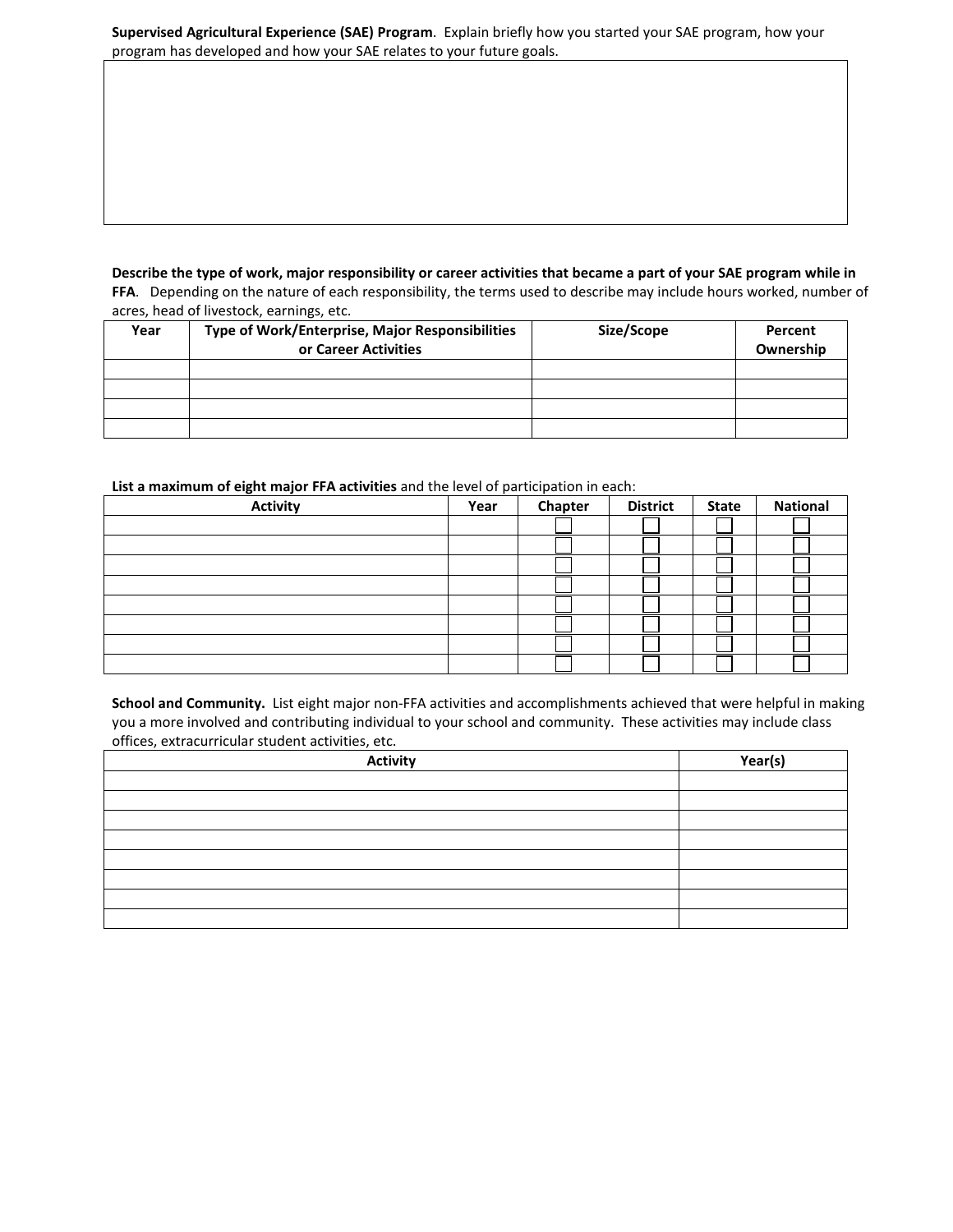|                                                                      | Supervised Agricultural Experience (SAE) Program. Explain briefly how you started your SAE program, how your |
|----------------------------------------------------------------------|--------------------------------------------------------------------------------------------------------------|
| program has developed and how your SAE relates to your future goals. |                                                                                                              |

#### **Describe the type of work, major responsibility or career activities that became a part of your SAE program while in FFA**. Depending on the nature of each responsibility, the terms used to describe may include hours worked, number of acres, head of livestock, earnings, etc.

| Year | Type of Work/Enterprise, Major Responsibilities<br>or Career Activities | Size/Scope | Percent<br>Ownership |
|------|-------------------------------------------------------------------------|------------|----------------------|
|      |                                                                         |            |                      |
|      |                                                                         |            |                      |
|      |                                                                         |            |                      |
|      |                                                                         |            |                      |

#### **List a maximum of eight major FFA activities** and the level of participation in each:

| <b>Activity</b> | Year | Chapter | <b>District</b> | <b>State</b> | <b>National</b> |
|-----------------|------|---------|-----------------|--------------|-----------------|
|                 |      |         |                 |              |                 |
|                 |      |         |                 |              |                 |
|                 |      |         |                 |              |                 |
|                 |      |         |                 |              |                 |
|                 |      |         |                 |              |                 |
|                 |      |         |                 |              |                 |
|                 |      |         |                 |              |                 |
|                 |      |         |                 |              |                 |

**School and Community.** List eight major non-FFA activities and accomplishments achieved that were helpful in making you a more involved and contributing individual to your school and community. These activities may include class offices, extracurricular student activities, etc.

| <b>Activity</b> | Year(s) |
|-----------------|---------|
|                 |         |
|                 |         |
|                 |         |
|                 |         |
|                 |         |
|                 |         |
|                 |         |
|                 |         |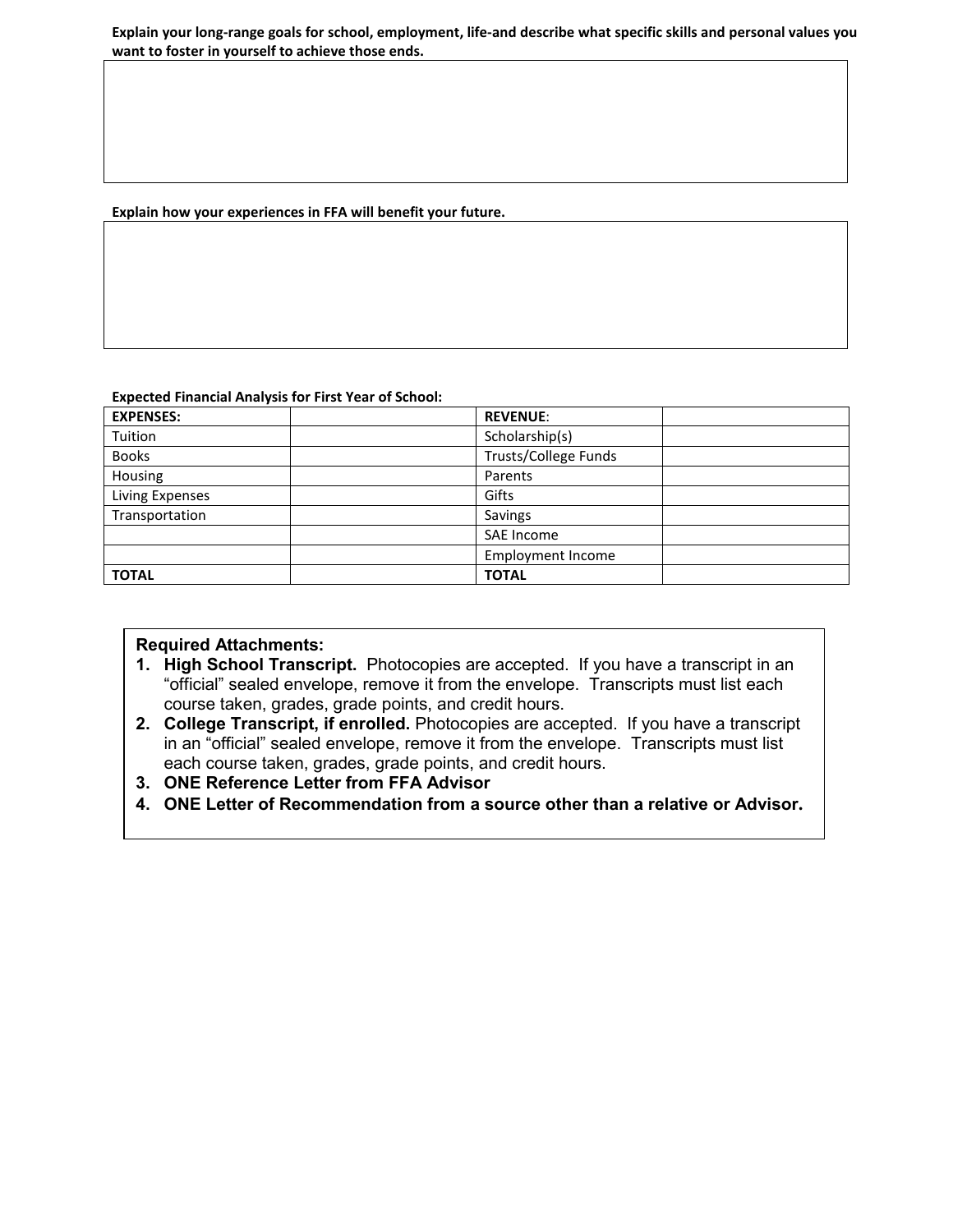#### **Explain your long-range goals for school, employment, life-and describe what specific skills and personal values you want to foster in yourself to achieve those ends.**

#### **Explain how your experiences in FFA will benefit your future.**

#### **Expected Financial Analysis for First Year of School:**

| <b>EXPENSES:</b> | <b>REVENUE:</b>          |  |
|------------------|--------------------------|--|
| Tuition          | Scholarship(s)           |  |
| <b>Books</b>     | Trusts/College Funds     |  |
| Housing          | Parents                  |  |
| Living Expenses  | Gifts                    |  |
| Transportation   | Savings                  |  |
|                  | SAE Income               |  |
|                  | <b>Employment Income</b> |  |
| <b>TOTAL</b>     | <b>TOTAL</b>             |  |

### **Required Attachments:**

- **1. High School Transcript.** Photocopies are accepted. If you have a transcript in an "official" sealed envelope, remove it from the envelope. Transcripts must list each course taken, grades, grade points, and credit hours.
- **2. College Transcript, if enrolled.** Photocopies are accepted. If you have a transcript in an "official" sealed envelope, remove it from the envelope. Transcripts must list each course taken, grades, grade points, and credit hours.
- **3. ONE Reference Letter from FFA Advisor**
- **4. ONE Letter of Recommendation from a source other than a relative or Advisor.**